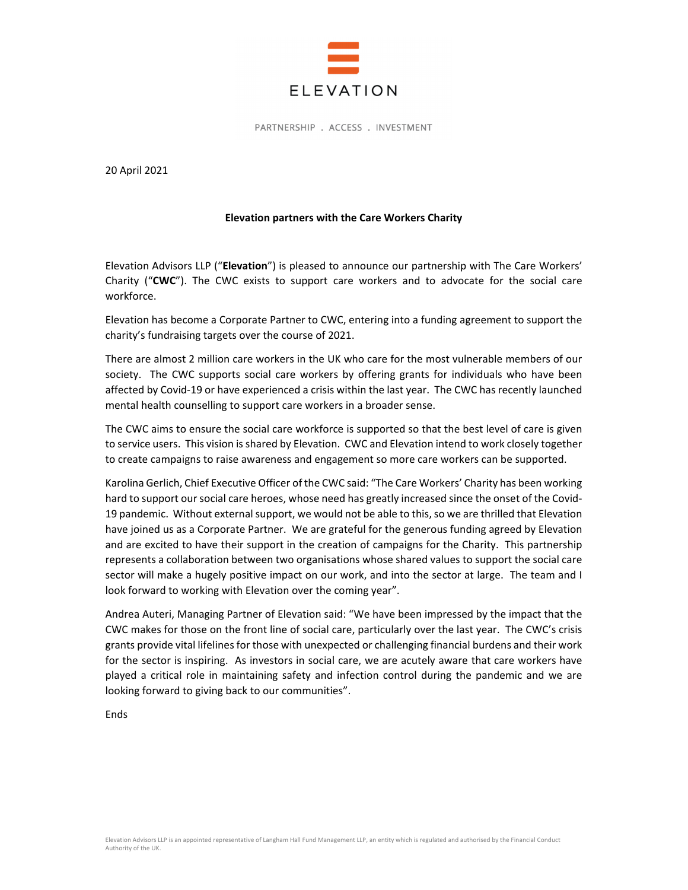

PARTNERSHIP . ACCESS . INVESTMENT

20 April 2021

## **Elevation partners with the Care Workers Charity**

Elevation Advisors LLP ("**Elevation**") is pleased to announce our partnership with The Care Workers' Charity ("**CWC**"). The CWC exists to support care workers and to advocate for the social care workforce.

Elevation has become a Corporate Partner to CWC, entering into a funding agreement to support the charity's fundraising targets over the course of 2021.

There are almost 2 million care workers in the UK who care for the most vulnerable members of our society. The CWC supports social care workers by offering grants for individuals who have been affected by Covid-19 or have experienced a crisis within the last year. The CWC has recently launched mental health counselling to support care workers in a broader sense.

The CWC aims to ensure the social care workforce is supported so that the best level of care is given to service users. This vision is shared by Elevation. CWC and Elevation intend to work closely together to create campaigns to raise awareness and engagement so more care workers can be supported.

Karolina Gerlich, Chief Executive Officer of the CWC said: "The Care Workers' Charity has been working hard to support our social care heroes, whose need has greatly increased since the onset of the Covid‐ 19 pandemic. Without external support, we would not be able to this, so we are thrilled that Elevation have joined us as a Corporate Partner. We are grateful for the generous funding agreed by Elevation and are excited to have their support in the creation of campaigns for the Charity. This partnership represents a collaboration between two organisations whose shared values to support the social care sector will make a hugely positive impact on our work, and into the sector at large. The team and I look forward to working with Elevation over the coming year".

Andrea Auteri, Managing Partner of Elevation said: "We have been impressed by the impact that the CWC makes for those on the front line of social care, particularly over the last year. The CWC's crisis grants provide vital lifelines for those with unexpected or challenging financial burdens and their work for the sector is inspiring. As investors in social care, we are acutely aware that care workers have played a critical role in maintaining safety and infection control during the pandemic and we are looking forward to giving back to our communities".

**Ends**